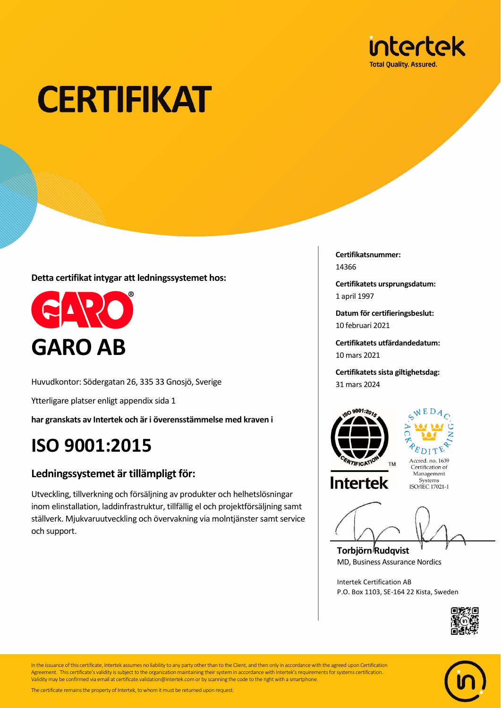

# **CERTIFIKAT**

**Detta certifikat intygar att ledningssystemet hos:**



Huvudkontor: Södergatan 26, 335 33 Gnosjö, Sverige

Ytterligare platser enligt appendix sida 1

**har granskats av Intertek och är i överensstämmelse med kraven i**

### **ISO 9001:2015**

#### **Ledningssystemet är tillämpligt för:**

Utveckling, tillverkning och försäljning av produkter och helhetslösningar inom elinstallation, laddinfrastruktur, tillfällig el och projektförsäljning samt ställverk. Mjukvaruutveckling och övervakning via molntjänster samt service och support.

**Certifikatsnummer:** 14366

**Certifikatets ursprungsdatum:** 1 april 1997

**Datum för certifieringsbeslut:** 10 februari 2021

**Certifikatets utfärdandedatum:** 10 mars 2021

**Certifikatets sista giltighetsdag:** 31 mars 2024





Accred. no. 1639 Certification of Management Systems<br>ISO/IEC 17021-1

**Torbjörn Rudqvist** MD, Business Assurance Nordics

Intertek Certification AB P.O. Box 1103, SE-164 22 Kista, Sweden





In the issuance of this certificate, Intertek assumes no liability to any party other than to the Client, and then only in accordance with the agreed upon Certification Agreement. This certificate's validity is subject to the organization maintaining their system in accordance with Intertek's requirements for systems certification. Validity may be confirmed via email at certificate.validation@intertek.com or by scanning the code to the right with a smartphone.